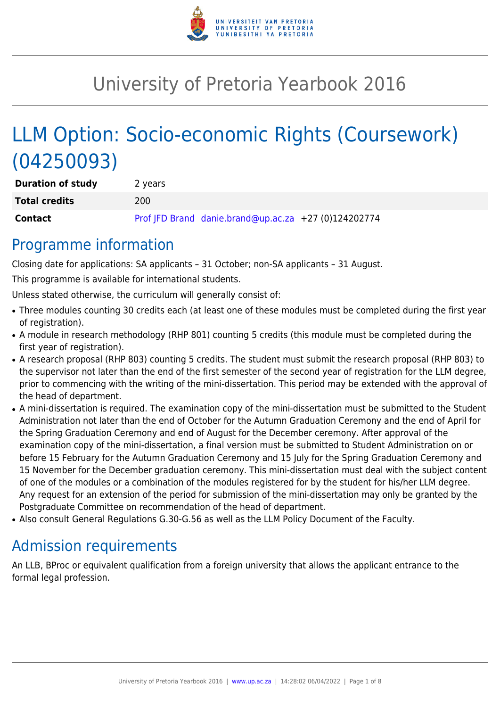

# University of Pretoria Yearbook 2016

# LLM Option: Socio-economic Rights (Coursework) (04250093)

| <b>Duration of study</b> | 2 years |                                                      |  |
|--------------------------|---------|------------------------------------------------------|--|
| <b>Total credits</b>     | 200     |                                                      |  |
| <b>Contact</b>           |         | Prof JFD Brand danie.brand@up.ac.za +27 (0)124202774 |  |

## Programme information

Closing date for applications: SA applicants – 31 October; non-SA applicants – 31 August.

This programme is available for international students.

Unless stated otherwise, the curriculum will generally consist of:

- Three modules counting 30 credits each (at least one of these modules must be completed during the first year of registration).
- A module in research methodology (RHP 801) counting 5 credits (this module must be completed during the first year of registration).
- A research proposal (RHP 803) counting 5 credits. The student must submit the research proposal (RHP 803) to the supervisor not later than the end of the first semester of the second year of registration for the LLM degree, prior to commencing with the writing of the mini-dissertation. This period may be extended with the approval of the head of department.
- A mini-dissertation is required. The examination copy of the mini-dissertation must be submitted to the Student Administration not later than the end of October for the Autumn Graduation Ceremony and the end of April for the Spring Graduation Ceremony and end of August for the December ceremony. After approval of the examination copy of the mini-dissertation, a final version must be submitted to Student Administration on or before 15 February for the Autumn Graduation Ceremony and 15 July for the Spring Graduation Ceremony and 15 November for the December graduation ceremony. This mini-dissertation must deal with the subject content of one of the modules or a combination of the modules registered for by the student for his/her LLM degree. Any request for an extension of the period for submission of the mini-dissertation may only be granted by the Postgraduate Committee on recommendation of the head of department.
- Also consult General Regulations G.30-G.56 as well as the LLM Policy Document of the Faculty.

## Admission requirements

An LLB, BProc or equivalent qualification from a foreign university that allows the applicant entrance to the formal legal profession.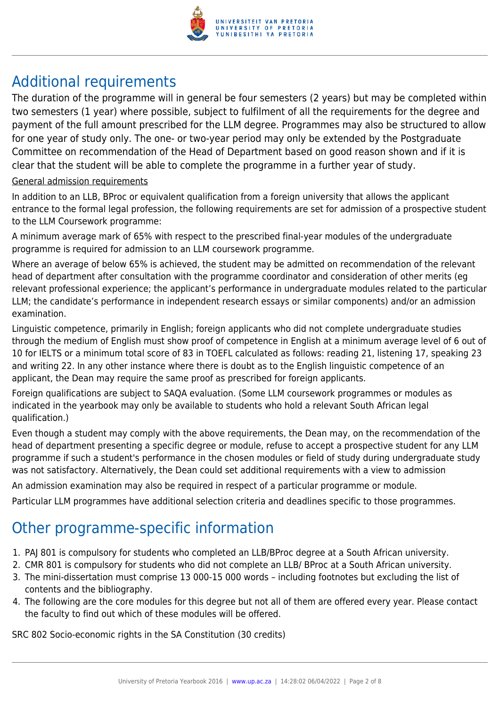

## Additional requirements

The duration of the programme will in general be four semesters (2 years) but may be completed within two semesters (1 year) where possible, subject to fulfilment of all the requirements for the degree and payment of the full amount prescribed for the LLM degree. Programmes may also be structured to allow for one year of study only. The one- or two-year period may only be extended by the Postgraduate Committee on recommendation of the Head of Department based on good reason shown and if it is clear that the student will be able to complete the programme in a further year of study.

### General admission requirements

In addition to an LLB, BProc or equivalent qualification from a foreign university that allows the applicant entrance to the formal legal profession, the following requirements are set for admission of a prospective student to the LLM Coursework programme:

A minimum average mark of 65% with respect to the prescribed final-year modules of the undergraduate programme is required for admission to an LLM coursework programme.

Where an average of below 65% is achieved, the student may be admitted on recommendation of the relevant head of department after consultation with the programme coordinator and consideration of other merits (eg relevant professional experience; the applicant's performance in undergraduate modules related to the particular LLM; the candidate's performance in independent research essays or similar components) and/or an admission examination.

Linguistic competence, primarily in English; foreign applicants who did not complete undergraduate studies through the medium of English must show proof of competence in English at a minimum average level of 6 out of 10 for IELTS or a minimum total score of 83 in TOEFL calculated as follows: reading 21, listening 17, speaking 23 and writing 22. In any other instance where there is doubt as to the English linguistic competence of an applicant, the Dean may require the same proof as prescribed for foreign applicants.

Foreign qualifications are subject to SAQA evaluation. (Some LLM coursework programmes or modules as indicated in the yearbook may only be available to students who hold a relevant South African legal qualification.)

Even though a student may comply with the above requirements, the Dean may, on the recommendation of the head of department presenting a specific degree or module, refuse to accept a prospective student for any LLM programme if such a student's performance in the chosen modules or field of study during undergraduate study was not satisfactory. Alternatively, the Dean could set additional requirements with a view to admission

An admission examination may also be required in respect of a particular programme or module.

Particular LLM programmes have additional selection criteria and deadlines specific to those programmes.

## Other programme-specific information

- 1. PAJ 801 is compulsory for students who completed an LLB/BProc degree at a South African university.
- 2. CMR 801 is compulsory for students who did not complete an LLB/ BProc at a South African university.
- 3. The mini-dissertation must comprise 13 000-15 000 words including footnotes but excluding the list of contents and the bibliography.
- 4. The following are the core modules for this degree but not all of them are offered every year. Please contact the faculty to find out which of these modules will be offered.

SRC 802 Socio-economic rights in the SA Constitution (30 credits)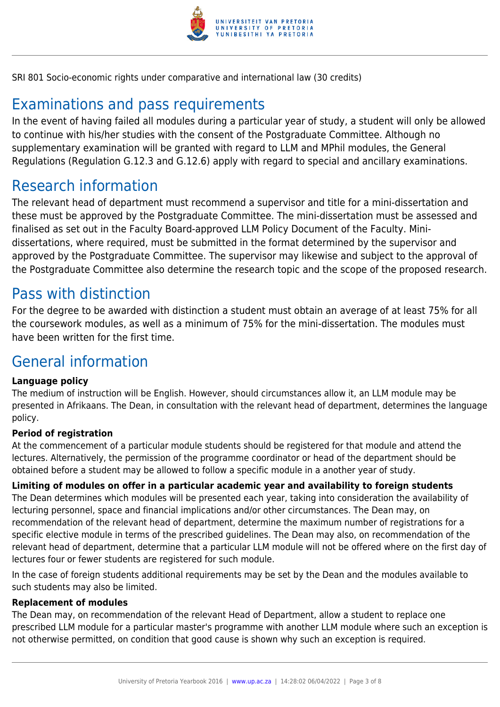

SRI 801 Socio-economic rights under comparative and international law (30 credits)

## Examinations and pass requirements

In the event of having failed all modules during a particular year of study, a student will only be allowed to continue with his/her studies with the consent of the Postgraduate Committee. Although no supplementary examination will be granted with regard to LLM and MPhil modules, the General Regulations (Regulation G.12.3 and G.12.6) apply with regard to special and ancillary examinations.

## Research information

The relevant head of department must recommend a supervisor and title for a mini-dissertation and these must be approved by the Postgraduate Committee. The mini-dissertation must be assessed and finalised as set out in the Faculty Board-approved LLM Policy Document of the Faculty. Minidissertations, where required, must be submitted in the format determined by the supervisor and approved by the Postgraduate Committee. The supervisor may likewise and subject to the approval of the Postgraduate Committee also determine the research topic and the scope of the proposed research.

## Pass with distinction

For the degree to be awarded with distinction a student must obtain an average of at least 75% for all the coursework modules, as well as a minimum of 75% for the mini-dissertation. The modules must have been written for the first time.

## General information

### **Language policy**

The medium of instruction will be English. However, should circumstances allow it, an LLM module may be presented in Afrikaans. The Dean, in consultation with the relevant head of department, determines the language policy.

### **Period of registration**

At the commencement of a particular module students should be registered for that module and attend the lectures. Alternatively, the permission of the programme coordinator or head of the department should be obtained before a student may be allowed to follow a specific module in a another year of study.

**Limiting of modules on offer in a particular academic year and availability to foreign students** The Dean determines which modules will be presented each year, taking into consideration the availability of lecturing personnel, space and financial implications and/or other circumstances. The Dean may, on recommendation of the relevant head of department, determine the maximum number of registrations for a specific elective module in terms of the prescribed guidelines. The Dean may also, on recommendation of the relevant head of department, determine that a particular LLM module will not be offered where on the first day of lectures four or fewer students are registered for such module.

In the case of foreign students additional requirements may be set by the Dean and the modules available to such students may also be limited.

### **Replacement of modules**

The Dean may, on recommendation of the relevant Head of Department, allow a student to replace one prescribed LLM module for a particular master's programme with another LLM module where such an exception is not otherwise permitted, on condition that good cause is shown why such an exception is required.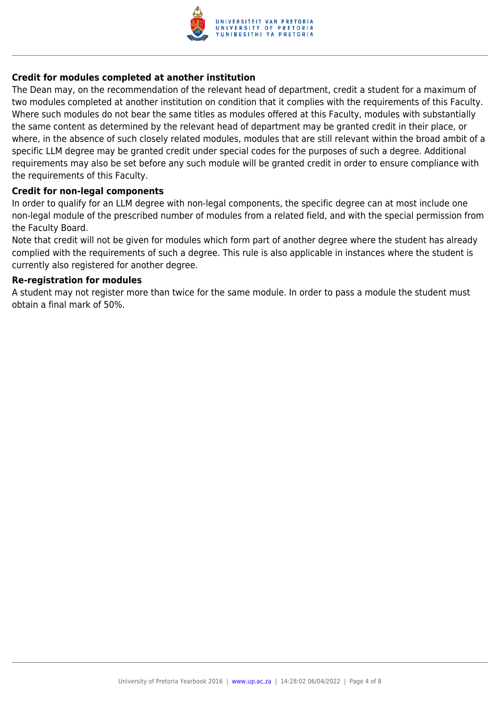

#### **Credit for modules completed at another institution**

The Dean may, on the recommendation of the relevant head of department, credit a student for a maximum of two modules completed at another institution on condition that it complies with the requirements of this Faculty. Where such modules do not bear the same titles as modules offered at this Faculty, modules with substantially the same content as determined by the relevant head of department may be granted credit in their place, or where, in the absence of such closely related modules, modules that are still relevant within the broad ambit of a specific LLM degree may be granted credit under special codes for the purposes of such a degree. Additional requirements may also be set before any such module will be granted credit in order to ensure compliance with the requirements of this Faculty.

#### **Credit for non-legal components**

In order to qualify for an LLM degree with non-legal components, the specific degree can at most include one non-legal module of the prescribed number of modules from a related field, and with the special permission from the Faculty Board.

Note that credit will not be given for modules which form part of another degree where the student has already complied with the requirements of such a degree. This rule is also applicable in instances where the student is currently also registered for another degree.

#### **Re-registration for modules**

A student may not register more than twice for the same module. In order to pass a module the student must obtain a final mark of 50%.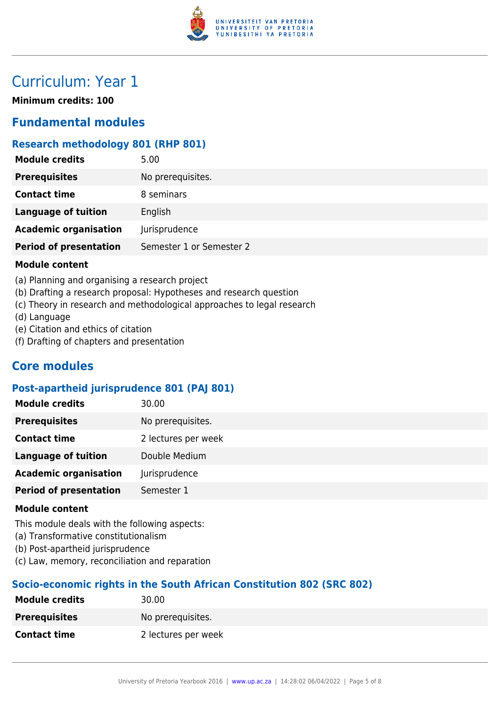

## Curriculum: Year 1

**Minimum credits: 100**

## **Fundamental modules**

### **Research methodology 801 (RHP 801)**

| <b>Module credits</b>         | 5.00                     |
|-------------------------------|--------------------------|
| <b>Prerequisites</b>          | No prerequisites.        |
| <b>Contact time</b>           | 8 seminars               |
| <b>Language of tuition</b>    | English                  |
| <b>Academic organisation</b>  | Jurisprudence            |
| <b>Period of presentation</b> | Semester 1 or Semester 2 |
|                               |                          |

#### **Module content**

- (a) Planning and organising a research project
- (b) Drafting a research proposal: Hypotheses and research question
- (c) Theory in research and methodological approaches to legal research
- (d) Language
- (e) Citation and ethics of citation
- (f) Drafting of chapters and presentation

## **Core modules**

### **Post-apartheid jurisprudence 801 (PAJ 801)**

| No prerequisites.<br><b>Prerequisites</b>     |
|-----------------------------------------------|
|                                               |
| <b>Contact time</b><br>2 lectures per week    |
| Double Medium<br><b>Language of tuition</b>   |
| <b>Academic organisation</b><br>Jurisprudence |
| <b>Period of presentation</b><br>Semester 1   |

#### **Module content**

This module deals with the following aspects:

- (a) Transformative constitutionalism
- (b) Post-apartheid jurisprudence
- (c) Law, memory, reconciliation and reparation

## **Socio-economic rights in the South African Constitution 802 (SRC 802)**

| <b>Module credits</b> | 30.00               |
|-----------------------|---------------------|
| <b>Prerequisites</b>  | No prerequisites.   |
| <b>Contact time</b>   | 2 lectures per week |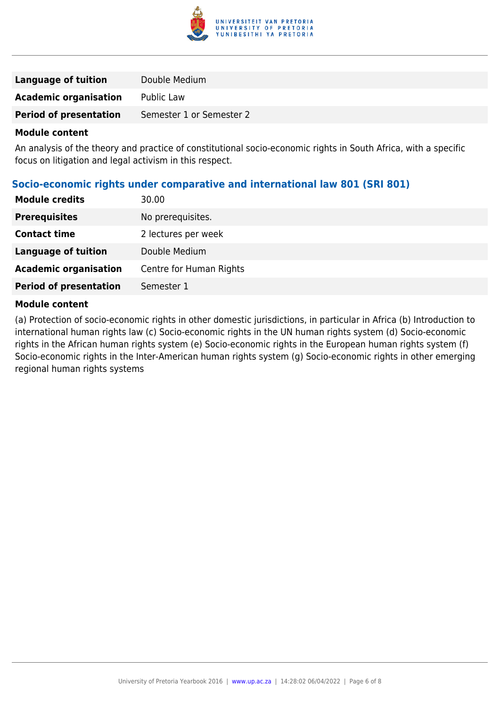

| Language of tuition           | Double Medium            |
|-------------------------------|--------------------------|
| <b>Academic organisation</b>  | Public Law               |
| <b>Period of presentation</b> | Semester 1 or Semester 2 |
|                               |                          |

#### **Module content**

An analysis of the theory and practice of constitutional socio-economic rights in South Africa, with a specific focus on litigation and legal activism in this respect.

## **Socio-economic rights under comparative and international law 801 (SRI 801)**

| <b>Module credits</b>         | 30.00                   |
|-------------------------------|-------------------------|
| <b>Prerequisites</b>          | No prerequisites.       |
| <b>Contact time</b>           | 2 lectures per week     |
| <b>Language of tuition</b>    | Double Medium           |
| <b>Academic organisation</b>  | Centre for Human Rights |
| <b>Period of presentation</b> | Semester 1              |
|                               |                         |

#### **Module content**

(a) Protection of socio-economic rights in other domestic jurisdictions, in particular in Africa (b) Introduction to international human rights law (c) Socio-economic rights in the UN human rights system (d) Socio-economic rights in the African human rights system (e) Socio-economic rights in the European human rights system (f) Socio-economic rights in the Inter-American human rights system (g) Socio-economic rights in other emerging regional human rights systems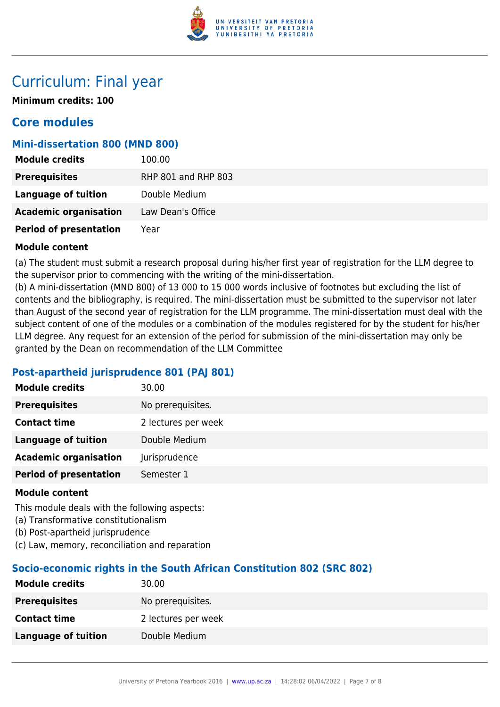

## Curriculum: Final year

**Minimum credits: 100**

## **Core modules**

## **Mini-dissertation 800 (MND 800)**

| <b>Module credits</b>         | 100.00              |
|-------------------------------|---------------------|
| <b>Prerequisites</b>          | RHP 801 and RHP 803 |
| Language of tuition           | Double Medium       |
| <b>Academic organisation</b>  | Law Dean's Office   |
| <b>Period of presentation</b> | Year                |

### **Module content**

(a) The student must submit a research proposal during his/her first year of registration for the LLM degree to the supervisor prior to commencing with the writing of the mini-dissertation.

(b) A mini-dissertation (MND 800) of 13 000 to 15 000 words inclusive of footnotes but excluding the list of contents and the bibliography, is required. The mini-dissertation must be submitted to the supervisor not later than August of the second year of registration for the LLM programme. The mini-dissertation must deal with the subject content of one of the modules or a combination of the modules registered for by the student for his/her LLM degree. Any request for an extension of the period for submission of the mini-dissertation may only be granted by the Dean on recommendation of the LLM Committee

## **Post-apartheid jurisprudence 801 (PAJ 801)**

| <b>Module credits</b>         | 30.00               |
|-------------------------------|---------------------|
| <b>Prerequisites</b>          | No prerequisites.   |
| <b>Contact time</b>           | 2 lectures per week |
| <b>Language of tuition</b>    | Double Medium       |
| <b>Academic organisation</b>  | Jurisprudence       |
| <b>Period of presentation</b> | Semester 1          |
|                               |                     |

### **Module content**

This module deals with the following aspects:

- (a) Transformative constitutionalism
- (b) Post-apartheid jurisprudence
- (c) Law, memory, reconciliation and reparation

## **Socio-economic rights in the South African Constitution 802 (SRC 802)**

| <b>Module credits</b>      | 30.00               |
|----------------------------|---------------------|
| <b>Prerequisites</b>       | No prerequisites.   |
| <b>Contact time</b>        | 2 lectures per week |
| <b>Language of tuition</b> | Double Medium       |
|                            |                     |